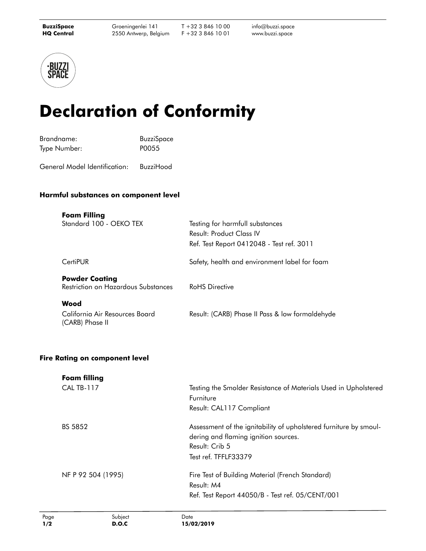T +32 3 846 10 00 F +32 3 846 10 01

info@buzzi.space [www.buzzi.space](http://www.buzzi.space)



## **Declaration of Conformity**

| Brandname:   | <b>BuzziSpace</b> |
|--------------|-------------------|
| Type Number: | P0055             |

General Model Identification: BuzziHood

## **Harmful substances on component level**

| <b>Foam Filling</b><br>Standard 100 - OEKO TEX               | Testing for harmfull substances<br>Result: Product Class IV<br>Ref. Test Report 0412048 - Test ref. 3011 |
|--------------------------------------------------------------|----------------------------------------------------------------------------------------------------------|
| CertiPUR                                                     | Safety, health and environment label for foam                                                            |
| <b>Powder Coating</b><br>Restriction on Hazardous Substances | <b>RoHS</b> Directive                                                                                    |
| Wood                                                         |                                                                                                          |
| California Air Resources Board<br>(CARB) Phase II            | Result: (CARB) Phase II Pass & low formaldehyde                                                          |

## **Fire Rating on component level**

| <b>Foam filling</b> |                                                                   |  |
|---------------------|-------------------------------------------------------------------|--|
| <b>CAL TB-117</b>   | Testing the Smolder Resistance of Materials Used in Upholstered   |  |
|                     | Furniture                                                         |  |
|                     | Result: CAL117 Compliant                                          |  |
| BS 5852             | Assessment of the ignitability of upholstered furniture by smoul- |  |
|                     | dering and flaming ignition sources.                              |  |
|                     | Result: Crib 5                                                    |  |
|                     | Test ref. TFFLF33379                                              |  |
| NF P 92 504 (1995)  | Fire Test of Building Material (French Standard)                  |  |
|                     | Result: M4                                                        |  |
|                     | Ref. Test Report 44050/B - Test ref. 05/CENT/001                  |  |
|                     |                                                                   |  |

Page **1/2**